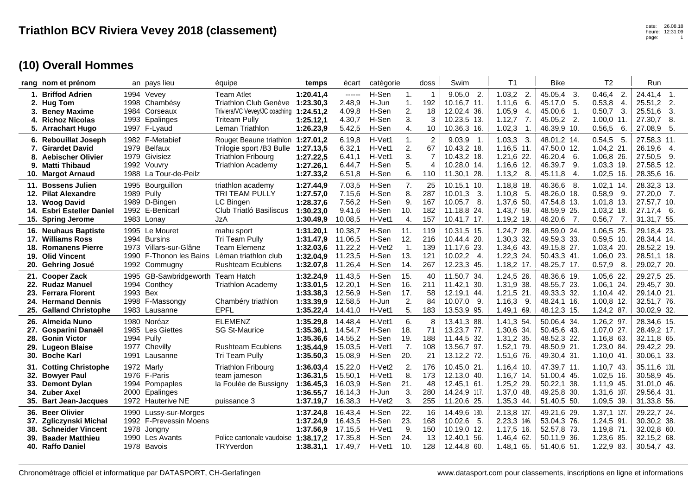|                   | rang nom et prénom                                                                                                 |              | an pays lieu                                                                                      | équipe                                                                                                                           | temps                                                         | écart                                               | catégorie                                    |                                              | doss                                                      | Swim                                                                            | T <sub>1</sub>                                                                             | <b>Bike</b>                                                                             | T <sub>2</sub>                                                                             | Run                                                                             |
|-------------------|--------------------------------------------------------------------------------------------------------------------|--------------|---------------------------------------------------------------------------------------------------|----------------------------------------------------------------------------------------------------------------------------------|---------------------------------------------------------------|-----------------------------------------------------|----------------------------------------------|----------------------------------------------|-----------------------------------------------------------|---------------------------------------------------------------------------------|--------------------------------------------------------------------------------------------|-----------------------------------------------------------------------------------------|--------------------------------------------------------------------------------------------|---------------------------------------------------------------------------------|
| 3.<br>4.          | 1. Briffod Adrien<br>2. Hug Tom<br><b>Beney Maxime</b><br><b>Richoz Nicolas</b><br>5. Arrachart Hugo               | 1984<br>1993 | 1994 Vevey<br>1998 Chambésy<br>Corseaux<br>Epalinges<br>1997 F-Lyaud                              | <b>Team Atlet</b><br>Triathlon Club Genève<br>Triviera/VC Vevey/JC coaching 1:24.51,2<br><b>Triteam Pully</b><br>Leman Triathlon | 1:20.41,4<br>1:23.30,3<br>1:25.12.1<br>1:26.23,9              | ------<br>2.48,9<br>4.09,8<br>4.30,7<br>5.42,5      | H-Sen<br>H-Jun<br>H-Sen<br>H-Sen<br>H-Sen    | 1.<br>1.<br>2.<br>3.<br>4.                   | $\mathbf 1$<br>192<br>18<br>10                            | $9.05.0$ 2.<br>10.16,7 11.<br>12.02,4 36.<br>10.23,5 13.<br>10.36,3 16.         | 1.03,2<br>2.<br>6.<br>1.11,6<br>1.05,9<br>4.<br>1.12,7<br>7.<br>1.02,3<br>$\overline{1}$ . | 45.05.4<br>3<br>45.17,0<br>5.<br>45.00,6<br>$\mathbf{1}$ .<br>45.05,2 2.<br>46.39,9 10. | 0.46.4<br>$\mathbf{2}$<br>0.53,8<br>4.<br>3.<br>0.50,7<br>1.00.0<br>11.<br>0.56,5<br>6.    | 24.41.4 1.<br>25.51,2<br>2.<br>25.51,6<br>3.<br>27.30,7<br>8.<br>27.08,9<br>-5. |
| 7.<br>8.          | 6. Rebouillat Joseph<br><b>Girardet David</b><br><b>Aebischer Olivier</b><br>9. Matti Thibaud<br>10. Margot Arnaud | 1979         | 1982 F-Metabief<br>1979 Belfaux<br>Givisiez<br>1992 Vouvrv<br>1988 La Tour-de-Peilz               | Rouget Beaune triathlon 1:27.01,2<br>Trilogie sport /B3 Bulle 1:27.13,5<br><b>Triathlon Fribourg</b><br><b>Triathlon Academy</b> | 1:27.22.5<br>1:27.26,1<br>1:27.33,2                           | 6.19.8<br>6.32,1<br>6.41,1<br>6.44.7<br>6.51,8      | H-Vet1<br>H-Vet1<br>H-Vet1<br>H-Sen<br>H-Sen | 1.<br>2.<br>3.<br>5.<br>6.                   | $\overline{2}$<br>67<br>$\overline{7}$<br>$\Delta$<br>110 | $9.03,9$ 1.<br>10.43,2 18.<br>10.43,2 18.<br>10.28,0 14.<br>11.30,1 28.         | 1.03,3<br>-3.<br>1.16,5 11.<br>1.21,6 22.<br>$1.16,6$ 12.<br>1.13,2<br>8.                  | 48.01,2 14.<br>47.50,0 12.<br>46.20,4<br>-6.<br>46.39,7<br>9<br>45.11,8<br>4.           | $0.54,5$ 5.<br>$1.04, 2$ 21.<br>1.06,8 26.<br>1.03.3 19.<br>1.02,5 16.                     | 27.58,3 11.<br>26.19,6 4.<br>27.50,5 9.<br>27.58,5 12.<br>28.35,6 16.           |
| 13.               | 11. Bossens Julien<br>12. Pilat Alexandre<br>Woog David<br>14. Esbri Esteller Daniel<br>15. Spring Jerome          |              | 1995 Bourguillon<br>1989 Pully<br>1989 D-Bingen<br>1992 E-Benicarl<br>1983 Lonay                  | triathlon academy<br>TRI TEAM PULLY<br>LC Bingen<br>Club Triatló Basiliscus<br>JzA                                               | 1:27.44,9<br>1:27.57,0<br>1:28.37,6<br>1:30.23,0<br>1:30.49,9 | 7.03,5<br>7.15,6<br>7.56,2<br>9.41,6<br>10.08,5     | H-Sen<br>H-Sen<br>H-Sen<br>H-Sen<br>H-Vet1   | 7.<br>8.<br>9.<br>10.<br>4.                  | 25<br>287<br>167<br>182<br>157                            | 10.15.1 10.<br>10.01,3<br>3.<br>10.05,7<br>- 8.<br>11.18.8 24.<br>10.41,7 17.   | 1.18,8 18.<br>1.10,8<br>-5.<br>1.37,6 50.<br>1.43,7 59.<br>1.19,2 19.                      | 46.36,6 8.<br>48.26,0 18.<br>47.54,8 13.<br>48.59,9 25.<br>46.20,6<br>7.                | $1.02, 1$ 14.<br>$0.58,9$ 9.<br>$1.01,8$ 13.<br>$1.03,2$ 18.<br>0.56,7<br>$\overline{7}$ . | 28.32,3 13.<br>27.20,0 7.<br>27.57,7 10.<br>27.17,4<br>6.<br>31.31,7 55.        |
| 18.<br>19.        | 16. Neuhaus Baptiste<br>17. Williams Ross<br><b>Romanens Pierre</b><br><b>Olid Vincent</b><br>20. Gehring Josué    | 1994<br>1973 | 1995 Le Mouret<br><b>Bursins</b><br>Villars-sur-Glâne<br>1990 F-Thonon les Bains<br>1992 Commugny | mahu sport<br>Tri Team Pully<br><b>Team Elemenz</b><br>Léman triathlon club<br><b>Rushteam Ecublens</b>                          | 1:31.20,1<br>1:31.47,9<br>1:32.03,6<br>1:32.04,9<br>1:32.07,8 | 10.38,7<br>11.06,5<br>11.22,2<br>11.23,5<br>11.26,4 | H-Sen<br>H-Sen<br>H-Vet2<br>H-Sen<br>H-Sen   | 11.<br>12.<br>$\overline{1}$ .<br>13.<br>14. | 119<br>216<br>139<br>121<br>267                           | 10.31,5 15.<br>10.44,4 20.<br>11.17,6 23.<br>10.02,2<br>4.<br>12.23,3 45.       | 1.24,7 28.<br>1.30,3 32.<br>1.34,6 43.<br>1.22,3 24.<br>$1.18,2$ 17.                       | 48.59,0 24.<br>49.59,3 33.<br>49.15,8 27.<br>50.43,3 41.<br>48.25,7 17.                 | 1.06,5 25.<br>$0.59,5$ 10.<br>$1.03,4$ 20.<br>$1.06, 0$ 23.<br>0.57,9<br>-8.               | 29.18,4 23.<br>28.34,4 14.<br>28.52,2 19.<br>28.51,1 18.<br>29.02,7 20.         |
| 21.<br>23.        | <b>Cooper Zack</b><br>22. Rudaz Manuel<br><b>Ferrara Florent</b><br>24. Hermand Dennis<br>25. Galland Christophe   | 1993 Bex     | 1995 GB-Sawbridgeworth Team Hatch<br>1994 Conthey<br>1998 F-Massongy<br>1983 Lausanne             | <b>Triathlon Academy</b><br>Chambéry triathlon<br><b>EPFL</b>                                                                    | 1:32.24,9<br>1:33.01.5<br>1:33.38.3<br>1:33.39,9<br>1:35.22,4 | 11.43,5<br>12.20,1<br>12.56,9<br>12.58,5<br>14.41,0 | H-Sen<br>H-Sen<br>H-Sen<br>H-Jun<br>H-Vet1   | 15.<br>16.<br>17.<br>2.<br>5.                | 40<br>211<br>58<br>84<br>183                              | 11.50.7 34.<br>11.42,1 30.<br>12.19,1<br>44.<br>10.07,0<br>9.<br>13.53,9 95.    | 1.24,5 26.<br>1.31,9 38.<br>$1.21,5$ 21.<br>$1.16,3$ 9.<br>1.49,1 69.                      | 48.36,6 19.<br>48.55,7 23.<br>49.33,3 32.<br>48.24,1 16.<br>48.12,3 15.                 | 1.05,6 22.<br>1.06.1 24.<br>$1.10,4$ 42.<br>$1.00,8$ 12.<br>$1.24, 2.87$ .                 | 29.27,5 25.<br>29.45,7 30.<br>29.14,0 21.<br>32.51,7 76.<br>30.02,9 32.         |
| 27.<br>28.<br>29. | 26. Almeida Nuno<br>Gosparini Danaël<br><b>Gonin Victor</b><br><b>Lugeon Blaise</b><br>30. Boche Karl              | 1985<br>1994 | 1980 Noréaz<br>Les Giettes<br>Pully<br>1977 Chevilly<br>1991 Lausanne                             | <b>ELEMENZ</b><br><b>SG St-Maurice</b><br><b>Rushteam Ecublens</b><br>Tri Team Pully                                             | 1:35.29,8<br>1:35.36.1<br>1:35.36,6<br>1:35.44.9<br>1:35.50,3 | 14.48.4<br>14.54,7<br>14.55,2<br>15.03,5<br>15.08,9 | H-Vet1<br>H-Sen<br>H-Sen<br>H-Vet1<br>H-Sen  | 6.<br>18.<br>19.<br>7.<br>20.                | 8<br>71<br>188<br>108<br>21                               | 13.41,3 88.<br>13.23,7 77.<br>11.44,5 32.<br>13.56,7 97.<br>13.12,2 72.         | 1.41,3 54.<br>1.30,6 34.<br>1.31,2 35.<br>1.52,1 79.<br>1.51,6 76.                         | 50.06,4 34.<br>50.45.6 43<br>48.52,3 22.<br>48.50,9 21.<br>49.30,4 31.                  | 1.26,2 97.<br>1.07.0 27.<br>1.16,8 63.<br>1.23,0 84.<br>$1.10,0$ 41.                       | 28.34,6 15.<br>28.49,2 17.<br>32.11,8 65.<br>29.42,2 29.<br>30.06,1 33.         |
| 32.               | 31. Cotting Christophe<br><b>Bowyer Paul</b><br>33. Demont Dylan<br>34. Zuber Axel<br>35. Bart Jean-Jacques        | 1994<br>2000 | 1972 Marly<br>1976 F-Paris<br>Pompaples<br>Epalinges<br>1972 Hauterive NE                         | <b>Triathlon Fribourg</b><br>team jameson<br>la Foulée de Bussigny<br>puissance 3                                                | 1:36.03,4<br>1:36.31.5<br>1:36.45,3<br>1:36.55,7<br>1:37.19,7 | 15.22,0<br>15.50.1<br>16.03,9<br>16.14,3<br>16.38,3 | H-Vet2<br>H-Vet1<br>H-Sen<br>H-Jun<br>H-Vet2 | $\overline{2}$<br>8.<br>21.<br>3.<br>3.      | 176<br>173<br>48<br>280<br>255                            | 10.45.0 21.<br>12.13.0 40.<br>12.45,1 61.<br>14.24,9 117.<br>11.20,6 25.        | $1.16,4$ 10.<br>$1.16.7$ 14.<br>1.25,2 29.<br>1.37,0 48.<br>1.35,3 44.                     | 47.39,7 11.<br>51.00.4 45<br>50.22,1 38.<br>49.25,8 30.<br>51.40,5 50.                  | $1.10,7$ 43.<br>$1.02,5$ 16.<br>$1.11,9$ 45.<br>1.31,6 107.<br>1.09,5 39.                  | 35.11,6 131.<br>30.58,9 45.<br>31.01,0 46.<br>29.56,4 31.<br>31.33,8 56.        |
| 36.<br>37.<br>39. | <b>Beer Olivier</b><br>Zgliczynski Michal<br>38. Schneider Vincent<br><b>Baader Matthieu</b><br>40. Raffo Daniel   | 1990<br>1990 | Lussy-sur-Morges<br>1992 F-Prevessin Moens<br>1978 Jongny<br>Les Avants<br>1978 Bavois            | Police cantonale vaudoise 1:38.17,2<br>TRYverdon                                                                                 | 1:37.24,8<br>1:37.24.9<br>1:37.56,9<br>1:38.31,1              | 16.43.4<br>16.43.5<br>17.15,5<br>17.35,8<br>17.49,7 | H-Sen<br>H-Sen<br>H-Vet1<br>H-Sen<br>H-Vet1  | 22.<br>23.<br>9.<br>24.<br>10.               | 16<br>168<br>150<br>13<br>128                             | 14.49,6 130.<br>10.02,6<br>- 5.<br>10.19,0 12.<br>12.40.1<br>56.<br>12.44,8 60. | 2.13,8 127.<br>2.23,3 146.<br>1.17,5 16.<br>$1.46,4$ 62.<br>1.48,1 65.                     | 49.21,6 29.<br>53.04,3 76<br>52.57,8 73<br>50.11,9 36.<br>51.40,6 51.                   | $1.37,1$ 127.<br>$1.24,5$ 91.<br>1.19,8 71.<br>1.23,6 85.<br>$1.22,9$ 83.                  | 29.22,7 24.<br>30.30,2 38.<br>32.02,8 60.<br>32.15,2 68.<br>30.54,7 43.         |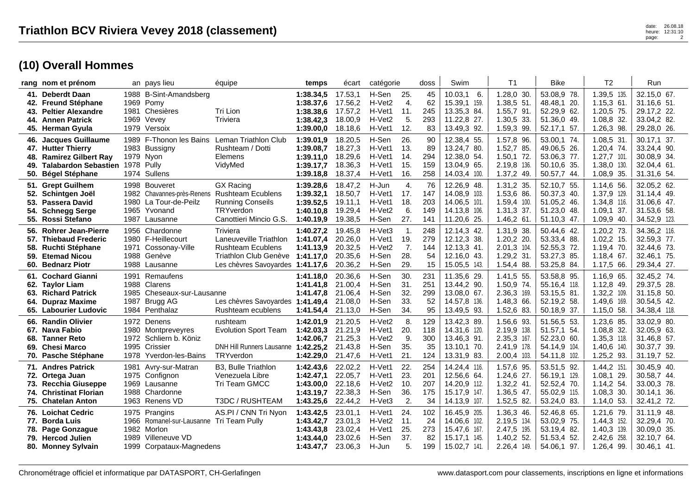|     | rang nom et prénom                                                                                                                     |      | an pays lieu                                                                                                            | équipe                                                                                                                                | temps                                                         | écart                                               | catégorie                                                             |                                           | doss                           | Swim                                                                         | T <sub>1</sub>                                                           | <b>Bike</b>                                                              | T <sub>2</sub>                                                            | Run                                                                      |
|-----|----------------------------------------------------------------------------------------------------------------------------------------|------|-------------------------------------------------------------------------------------------------------------------------|---------------------------------------------------------------------------------------------------------------------------------------|---------------------------------------------------------------|-----------------------------------------------------|-----------------------------------------------------------------------|-------------------------------------------|--------------------------------|------------------------------------------------------------------------------|--------------------------------------------------------------------------|--------------------------------------------------------------------------|---------------------------------------------------------------------------|--------------------------------------------------------------------------|
|     | 41. Deberdt Daan<br>42. Freund Stéphane<br>43. Peltier Alexandre<br>44. Annen Patrick<br>45. Herman Gyula                              | 1979 | 1988 B-Sint-Amandsberg<br>1969 Pomy<br>1981 Chesières<br>1969 Vevey<br>Versoix                                          | Tri Lion<br>Triviera                                                                                                                  | 1:38.34,5<br>1:38.37,6<br>1:38.38,6<br>1:38.42,3<br>1:39.00,0 | 17.53,1<br>17.56,2<br>17.57.2<br>18.00,9<br>18.18,6 | H-Sen<br>H-Vet2<br>H-Vet1<br>H-Vet <sub>2</sub><br>H-Vet1             | 25.<br>4.<br>11.<br>5.<br>12.             | 45<br>62<br>245<br>293<br>83   | 10.03,1<br>- 6.<br>15.39,1 159.<br>13.35,3 84.<br>11.22,8 27.<br>13.49,3 92. | 1.28,0 30.<br>1.38,551.<br>$1.55,7$ 91.<br>1.30,5 33.<br>1.59,3 99.      | 53.08,9 78.<br>48.48,1 20.<br>52.29,9 62.<br>51.36,0 49.<br>52.17,1 57.  | 1.39,5 135<br>$1.15,3$ 61.<br>1.20.5 75.<br>1.08,8 32.<br>1.26,3 98.      | 32.15,0 67.<br>31.16,6 51.<br>29.17,2 22.<br>33.04,2 82.<br>29.28,0 26.  |
| 48. | 46. Jacques Guillaume<br>47. Hutter Thierry<br><b>Ramirez Gilbert Ray</b><br>49. Talabardon Sebastien 1978 Pully<br>50. Bégel Stéphane |      | 1989 F-Thonon les Bains<br>1983 Bussigny<br>1979 Nyon<br>1974 Sullens                                                   | Leman Triathlon Club<br>Rushteam / Dotti<br>Elemens<br>VidyMed                                                                        | 1:39.01,9<br>1:39.08.7<br>1:39.11.0<br>1:39.17.7<br>1:39.18,8 | 18.20,5<br>18.27,3<br>18.29,6<br>18.36,3<br>18.37,4 | H-Sen<br>H-Vet1<br>H-Vet1<br>H-Vet1<br>H-Vet1                         | 26.<br>13.<br>14.<br>15.<br>16.           | 90<br>89<br>294<br>159<br>258  | 12.38,4 55.<br>13.24,7 80.<br>12.38,0 54.<br>13.04,9 65.<br>14.03,4 100.     | 1.57,8 96.<br>1.52,7 85.<br>$1.50,1$ 72.<br>2.19,8 136.<br>1.37,2 49.    | 53.00,1 74.<br>49.06,5 26.<br>53.06.3 77.<br>50.10,6 35.<br>50.57,7 44.  | 1.08,5 31<br>1.20,4 74.<br>$1.27,7$ 101.<br>1.38,0 130.<br>1.08,9 35.     | 30.17,1 37.<br>33.24,4 90.<br>30.08,9 34.<br>32.04,4 61.<br>31.31,6 54.  |
|     | 51. Grept Guilhem<br>52. Schintgen Joël<br>53. Passera David<br>54. Schnegg Serge<br>55. Rossi Stefano                                 |      | 1998 Bouveret<br>1982 Chavannes-près-Renens Rushteam Ecublens<br>1980 La Tour-de-Peilz<br>1965 Yvonand<br>1987 Lausanne | <b>GX Racing</b><br><b>Running Conseils</b><br>TRYverdon<br>Canottieri Mincio G.S.                                                    | 1:39.28,6<br>1:39.32,1<br>1:39.52,5<br>1:40.10,8<br>1:40.19,9 | 18.47.2<br>18.50,7<br>19.11,1<br>19.29,4<br>19.38,5 | H-Jun<br>H-Vet1<br>H-Vet1<br>H-Vet2<br>H-Sen                          | 4.<br>17.<br>18.<br>6.<br>27.             | 76<br>147<br>203<br>149<br>141 | 12.26,9 48.<br>14.08,9 103.<br>14.06.5 101.<br>14.13,8 106.<br>11.20,6 25.   | 1.31,2 35.<br>1.53,6 86.<br>1.59,4 100.<br>1.31,3 37.<br>$1.46,2$ 61.    | 52.10.7 55.<br>50.37,3 40.<br>51.05,2 46.<br>51.23,0 48.<br>51.10,3 47.  | 1.14,6 56.<br>1.37,9 129.<br>1.34,8 116.<br>1.09, 1.37.<br>1.09,9 40.     | 32.05,2 62.<br>31.14,4 49.<br>31.06,6 47.<br>31.53,6 58.<br>34.52,9 123. |
|     | 56. Rohrer Jean-Pierre<br>57. Thiebaud Frederic<br>58. Ruchti Stéphane<br>59. Etemad Nicou<br>60. Bednarz Piotr                        | 1971 | 1956 Chardonne<br>1980 F-Heillecourt<br>Cossonay-Ville<br>1988 Genève<br>1988 Lausanne                                  | Triviera<br>Laneuveville Triathlon<br><b>Rushteam Ecublens</b><br>Triathlon Club Genève 1:41.17.0<br>Les chèvres Savoyardes 1:41.17,6 | 1:40.27,2<br>1:41.07.4<br>1:41.13,9                           | 19.45,8<br>20.26,0<br>20.32,5<br>20.35,6<br>20.36,2 | H-Vet3<br>H-Vet1<br>H-Vet <sub>2</sub><br>H-Sen<br>H-Sen              | $\mathbf{1}$ .<br>19.<br>7.<br>28.<br>29. | 248<br>279<br>144<br>54<br>15  | 12.14,3 42.<br>12.12,3 38.<br>12.13,3 41.<br>12.16.0 43.<br>15.05,5 143.     | 1.31,9 38.<br>1.20,2 20.<br>2.01,3 104.<br>1.29,2 31.<br>1.54,4 88.      | 50.44,6 42.<br>53.33,4 88.<br>52.55,3 72.<br>53.27,3 85.<br>53.25,8 84.  | 1.20,2 73.<br>$1.02,2$ 15.<br>$1.19,4$ 70.<br>$1.18,4$ 67.<br>1.17,5 66.  | 34.36,2 116.<br>32.59,3 77.<br>32.44,6 73.<br>32.46,1 75.<br>29.34,4 27. |
|     | 61. Cochard Gianni<br>62. Taylor Liam<br>63. Richard Patrick<br>64. Dupraz Maxime<br>65. Labourier Ludovic                             | 1987 | 1991 Remaufens<br>1988 Clarens<br>1985 Cheseaux-sur-Lausanne<br>Brugg AG<br>1984 Penthalaz                              | Les chèvres Savoyardes 1:41.49,4<br>Rushteam ecublens                                                                                 | 1:41.18.0<br>1:41.41,8<br>1:41.47.8<br>1:41.54,4              | 20.36,6<br>21.00,4<br>21.06.4<br>21.08,0<br>21.13,0 | H-Sen<br>H-Sen<br>H-Sen<br>H-Sen<br>H-Sen                             | 30.<br>31.<br>32.<br>33.<br>34.           | 231<br>251<br>299<br>52<br>95  | 11.35,6 29.<br>13.44,2 90.<br>13.08.0 67.<br>14.57,8 136.<br>13.49,5 93.     | 1.41,5 55.<br>1.50,9 74.<br>2.36,3 169.<br>1.48,3 66.<br>1.52,6 83.      | 53.58,8 95.<br>55.16,4 118.<br>53.15,5 81.<br>52.19,2 58.<br>50.18,9 37. | 1.16,9 65<br>$1.12,8$ 49.<br>1.32,2 109.<br>1.49,6 169.<br>$1.15,0$ 58.   | 32.45,2 74.<br>29.37,5 28.<br>31.15,8 50.<br>30.54,5 42.<br>34.38,4 118. |
|     | 66. Randin Olivier<br>67. Nava Fabio<br>68. Tanner Reto<br>69. Chesi Marco<br>70. Pasche Stéphane                                      | 1972 | 1972 Denens<br>1980 Montpreveyres<br>Schliern b. Köniz<br>1995 Crissier<br>1978 Yverdon-les-Bains                       | rushteam<br><b>Evolution Sport Team</b><br>DNH Hill Runners Lausanne 1:42.25,2<br>TRYverdon                                           | 1:42.01,9<br>1:42.03.3<br>1:42.06.7<br>1:42.29,0              | 21.20,5<br>21.21,9<br>21.25,3<br>21.43,8<br>21.47,6 | H-Vet <sub>2</sub><br>H-Vet1<br>H-Vet <sub>2</sub><br>H-Sen<br>H-Vet1 | 8.<br>20.<br>9.<br>35.<br>21.             | 129<br>118<br>300<br>35<br>124 | 13.42,3 89.<br>14.31,6 120.<br>13.46,3 91.<br>13.10.1 70.<br>13.31,9 83.     | 1.56,6 93.<br>2.19,9 138.<br>2.35,3 167.<br>2.41,9 178.<br>$2.00,4$ 103. | 51.56,5 53.<br>51.57,1 54.<br>52.23,0 60.<br>54.14,9 104<br>54.11,8 102. | 1.23,6 85<br>1.08,8 32.<br>1.35,3 118.<br>1.40,6 140.<br>1.25,2 93.       | 33.02,9 80.<br>32.05,9 63.<br>31.46,8 57.<br>30.37,7 39.<br>31.19,7 52.  |
|     | 71. Andres Patrick<br>72. Ortega Juan<br>73. Recchia Giuseppe<br>74. Christinat Florian<br>75. Chatelan Anton                          | 1981 | Avry-sur-Matran<br>1975 Confignon<br>1969 Lausanne<br>1988 Chardonne<br>1963 Renens VD                                  | B3, Bulle Triathlon<br>Venezuela Libre<br>Tri Team GMCC<br>T3DC / RUSHTEAM                                                            | 1:42.43.6<br>1:42.47.1<br>1:43.00,0<br>1:43.19.7<br>1:43.25,6 | 22.02,2<br>22.05,7<br>22.18,6<br>22.38,3<br>22.44,2 | H-Vet1<br>H-Vet1<br>H-Vet2<br>H-Sen<br>H-Vet3                         | 22.<br>23.<br>10.<br>36.<br>2.            | 254<br>201<br>207<br>175<br>34 | 14.24,4 116.<br>12.56,6 64.<br>14.20.9 112.<br>15.17,9 147.<br>14.13,9 107.  | 1.57,6 95.<br>$1.24,6$ 27.<br>$1.32,2$ 41.<br>1.36,5 47.<br>1.52,5 82.   | 53.51,5 92.<br>56.19,1 129<br>52.52,4 70.<br>55.02,9 115.<br>53.24,0 83. | 1.44,2 151<br>$1.08, 1$ 29.<br>$1.14,2$ 54.<br>1.08,3 30.<br>$1.14,0$ 53. | 30.45,9 40.<br>30.58,7 44.<br>33.00,3 78.<br>30.14,1 36.<br>32.41,2 72.  |
|     | <b>76. Loichat Cedric</b><br>77. Borda Luis<br>78. Page Gonzague<br>79. Hercod Julien<br>80. Monney Sylvain                            | 1975 | Prangins<br>1966 Romanel-sur-Lausanne Tri Team Pully<br>1982 Morlon<br>1989 Villeneuve VD<br>1999 Corpataux-Magnedens   | AS.PI / CNN Tri Nyon                                                                                                                  | 1:43.42,5<br>1:43.42,7<br>1:43.43.8<br>1:43.44,0<br>1:43.47.7 | 23.01.1<br>23.01,3<br>23.02.4<br>23.02,6<br>23.06,3 | H-Vet1<br>H-Vet2<br>H-Vet1<br>H-Sen<br>H-Jun                          | 24.<br>11.<br>25.<br>37.<br>5.            | 102<br>24<br>273<br>82<br>199  | 16.45,9 205.<br>14.06.6 102.<br>15.47,6 167.<br>15.17.1 145.<br>15.02,7 141. | 1.36,3 46.<br>2.19,5 134.<br>2.47,5 195.<br>1.40,2 52.<br>2.26,4 149.    | 52.46,8 65.<br>53.02,9 75.<br>53.19,4 82.<br>51.53,4 52.<br>54.06,1 97.  | 1.21.6 79.<br>1.44,3 152.<br>1.40,3 139.<br>2.42,6 258.<br>1.26,4 99.     | 31.11,9 48.<br>32.29,4 70.<br>30.09,0 35.<br>32.10,7 64.<br>30.46,1 41.  |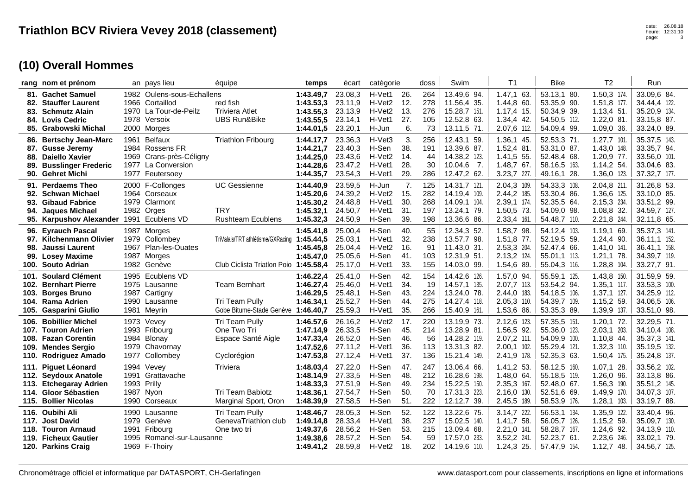|                   | rang nom et prénom                                                                                                        |      | an pays lieu                                                                                          | équipe                                                                       | temps                                                         | écart                                               | catégorie                                                |                                 | doss                            | Swim                                                                                     | T <sub>1</sub>                                                           | <b>Bike</b>                                                                 | T <sub>2</sub>                                                             | Run                                                                         |
|-------------------|---------------------------------------------------------------------------------------------------------------------------|------|-------------------------------------------------------------------------------------------------------|------------------------------------------------------------------------------|---------------------------------------------------------------|-----------------------------------------------------|----------------------------------------------------------|---------------------------------|---------------------------------|------------------------------------------------------------------------------------------|--------------------------------------------------------------------------|-----------------------------------------------------------------------------|----------------------------------------------------------------------------|-----------------------------------------------------------------------------|
| 83.               | 81. Gachet Samuel<br>82. Stauffer Laurent<br><b>Schmutz Alain</b><br>84. Lovis Cedric<br>85. Grabowski Michal             |      | 1982 Oulens-sous-Echallens<br>1966 Cortaillod<br>1970 La Tour-de-Peilz<br>1978 Versoix<br>2000 Morges | red fish<br><b>Triviera Atlet</b><br><b>UBS Run&amp;Bike</b>                 | 1:43.49.7<br>1:43.53,3<br>1:43.55,3<br>1:43.55,5<br>1:44.01,5 | 23.08,3<br>23.11,9<br>23.13.9<br>23.14,1<br>23.20,1 | H-Vet1<br>H-Vet2<br>H-Vet2<br>H-Vet1<br>H-Jun            | 26.<br>12.<br>13.<br>27.<br>6.  | 264<br>278<br>276<br>105<br>73  | 13.49,6 94.<br>11.56,4 35.<br>15.28.7 151.<br>12.52,8 63.<br>13.11,5 71.                 | 1.47,1 63.<br>1.44,8 60.<br>$1.17.4$ 15.<br>1.34,4 42.<br>2.07,6 112.    | 53.13,1 80.<br>53.35,9 90.<br>50.34,9 39.<br>54.50,5 112.<br>54.09,4 99.    | 1.50,3 174<br>1.51,8 177.<br>$1.13.4$ 51.<br>$1.22,0$ 81.<br>1.09,0 36.    | 33.09,6 84.<br>34.44,4 122.<br>35.20.9 134.<br>33.15.8 87.<br>33.24,0 89.   |
| 86.<br>88.<br>89. | <b>Bertschy Jean-Marc</b><br>87. Gusse Jeremy<br><b>Daiello Xavier</b><br><b>Busslinger Frederic</b><br>90. Gehret Michi  |      | 1961 Belfaux<br>1984 Rossens FR<br>1969 Crans-près-Céligny<br>1977 La Conversion<br>1977 Feutersoey   | <b>Triathlon Fribourg</b>                                                    | 1:44.17.7<br>1:44.21.7<br>1:44.25,0<br>1:44.28.6<br>1:44.35,7 | 23.36,3<br>23.40,3<br>23.43,6<br>23.47.2<br>23.54,3 | H-Vet3<br>H-Sen<br>H-Vet2<br>H-Vet1<br>H-Vet1            | 3.<br>38.<br>14.<br>28.<br>29.  | 256<br>191<br>44<br>30<br>286   | 12.43,1 59.<br>13.39,6 87.<br>14.38,2 123.<br>10.04,6<br>$\overline{7}$ .<br>12.47,2 62. | 1.36,1 45.<br>1.52,4 81.<br>1.41,5 55.<br>1.48,7 67.<br>3.23,7 227.      | 52.53,3 71.<br>53.31,0 87.<br>52.48,4 68.<br>58.16.5 163.<br>49.16,1 28.    | $1.27,7$ 101<br>1.43,0 148.<br>1.20,9 77.<br>1.14,2 54.<br>1.36,0 123.     | 35.37,5 143.<br>33.35,7 94.<br>33.56,0 101.<br>33.04,6 83.<br>37.32,7 177.  |
|                   | 91. Perdaems Theo<br>92. Schwan Michael<br>93. Gibaud Fabrice<br>94. Jaques Michael<br>95. Karpushov Alexander            |      | 2000 F-Collonges<br>1964 Corseaux<br>1979 Clarmont<br>1982 Orges<br>1991 Ecublens VD                  | <b>UC Gessienne</b><br><b>TRY</b><br><b>Rushteam Ecublens</b>                | 1:44.40,9<br>1:45.20,6<br>1:45.30.2<br>1:45.32,1<br>1:45.32,3 | 23.59,5<br>24.39,2<br>24.48,8<br>24.50.7<br>24.50,9 | H-Jun<br>H-Vet2<br>H-Vet1<br>H-Vet1<br>H-Sen             | 7.<br>15.<br>30.<br>31.<br>39.  | 125<br>282<br>268<br>197<br>198 | 14.31.7 121.<br>14.19,4 109.<br>14.09,1 104.<br>13.24.1 79.<br>13.36,6 86.               | 2.04,3 109.<br>2.44,2 185<br>2.39,1 174.<br>1.50,5 73.<br>2.33,4 161.    | 54.33,3 108.<br>53.30,4 86.<br>52.35,5 64.<br>54.09,0 98.<br>54.48,7 110.   | 2.04.8 211<br>1.36,6 125.<br>2.15,3 234.<br>1.08.8 32.<br>2.21,8 244.      | 31.26.8 53.<br>33.10,0 85.<br>33.51,2 99.<br>34.59,7 127.<br>32.11,8 65.    |
| 96.<br>98.        | <b>Eyrauch Pascal</b><br>97. Kilchenmann Olivier<br>Jaussi Laurent<br>99. Losey Maxime<br>100. Souto Adrian               | 1967 | 1987 Morges<br>1979 Collombey<br><b>Plan-les-Ouates</b><br>1987 Morges<br>1982 Genève                 | TriValais/TRT athlétisme/GXRacing<br>Club Ciclista Triatlon Poio 1:45.58,4   | 1:45.41.8<br>1:45.44,5<br>1:45.45.8<br>1:45.47,0              | 25.00.4<br>25.03,1<br>25.04,4<br>25.05,6<br>25.17,0 | H-Sen<br>H-Vet1<br>H-Vet <sub>2</sub><br>H-Sen<br>H-Vet1 | 40.<br>32.<br>16.<br>41.<br>33. | 55<br>238<br>91<br>103<br>155   | 12.34,3 52.<br>13.57,7 98.<br>11.43.0 31.<br>12.31,9 51.<br>14.03.0 99.                  | 1.58,7 98.<br>1.51,8 77.<br>2.53,3 204.<br>2.13,2 124.<br>1.54,6 89.     | 54.12.4 103.<br>52.19,5 59.<br>52.47,4 66.<br>55.01,1 113.<br>55.04,3 116.  | 1.19.1 69.<br>$1.24,4$ 90.<br>1.41,0 141.<br>$1.21, 1.78$ .<br>1.28,8 104. | 35.37,3 141.<br>36.11,1 152.<br>36.41,1 158.<br>34.39,7 119.<br>33.27,7 91. |
| 103.<br>105.      | 101. Soulard Clément<br>102. Bernhart Pierre<br><b>Borges Bruno</b><br>104. Rama Adrien<br><b>Gasparini Giulio</b>        | 1987 | 1995 Ecublens VD<br>1975 Lausanne<br>Cartigny<br>1990 Lausanne<br>1981 Meyrin                         | <b>Team Bernhart</b><br>Tri Team Pully<br>Gobe Bitume-Stade Genève 1:46.40,7 | 1:46.22,4<br>1:46.27.4<br>1:46.29,5<br>1:46.34,1              | 25.41,0<br>25.46,0<br>25.48,1<br>25.52,7<br>25.59,3 | H-Sen<br>H-Vet1<br>H-Sen<br>H-Sen<br>H-Vet1              | 42.<br>34.<br>43.<br>44.<br>35. | 154<br>19<br>224<br>275<br>266  | 14.42,6 126.<br>14.57,1 135.<br>13.24,0 78.<br>14.27,4 118.<br>15.40,9 161.              | 1.57,0 94.<br>2.07,7 113.<br>2.44,0 183.<br>2.05,3 110.<br>1.53,6 86.    | 55.59,1 125.<br>53.54,2 94.<br>54.18,5 106.<br>54.39,7 109.<br>53.35,3 89.  | 1.43,8 150<br>1.35,1 117<br>$1.37,1$ 127.<br>1.15,2 59.<br>1.39,9 137      | 31.59,9 59.<br>33.53,3 100.<br>34.25,9 112.<br>34.06.5 106.<br>33.51,0 98.  |
| 106.              | <b>Bobillier Michel</b><br>107. Touron Adrien<br>108. Fazan Corentin<br>109. Mendes Sergio<br>110. Rodriguez Amado        | 1984 | 1973 Vevey<br>1993 Fribourg<br>Blonay<br>1979 Chavornay<br>1977 Collombey                             | Tri Team Pully<br>One Two Tri<br>Espace Santé Aigle<br>Cyclorégion           | 1:46.57.6<br>1:47.14.9<br>1:47.33,4<br>1:47.52.6<br>1:47.53,8 | 26.16,2<br>26.33,5<br>26.52,0<br>27.11.2<br>27.12,4 | H-Vet2<br>H-Sen<br>H-Sen<br>H-Vet1<br>H-Vet1             | 17.<br>45.<br>46.<br>36.<br>37. | 220<br>214<br>56<br>113<br>136  | 13.19,9 73.<br>13.28,9 81.<br>14.28,2 119.<br>13.31,3 82.<br>15.21,4 149.                | 2.12,6 123.<br>1.56,5 92.<br>2.07,2 111.<br>$2.00,1$ 102.<br>2.41,9 178. | 57.35,5 151.<br>55.36,0 123.<br>54.09,9 100.<br>55.29,4 121.<br>52.35,3 63. | $1.20,1$ 72.<br>2.03,1 203.<br>$1.10,8$ 44.<br>1.32,3 110.<br>1.50,4 175.  | 32.29,5 71.<br>34.10.4 108.<br>35.37,3 141.<br>35.19.5 132.<br>35.24,8 137. |
| 111.<br>113.      | <b>Piguet Léonard</b><br>112. Seydoux Anatole<br><b>Etchegaray Adrien</b><br>114. Gloor Sébastien<br>115. Bollier Nicolas |      | 1994 Vevey<br>1991 Grattavache<br>1993 Prilly<br>1987 Nyon<br>1990 Corseaux                           | Triviera<br>Tri Team Babiotz<br>Marginal Sport, Oron                         | 1:48.03,4<br>1:48.14,9<br>1:48.33,3<br>1:48.36,1<br>1:48.39,9 | 27.22,0<br>27.33,5<br>27.51,9<br>27.54,7<br>27.58,5 | H-Sen<br>H-Sen<br>H-Sen<br>H-Sen<br>H-Sen                | 47.<br>48.<br>49.<br>50.<br>51. | 247<br>212<br>234<br>70<br>222  | 13.06,4 66.<br>16.28,6 198.<br>15.22,5 150.<br>17.31,3 223.<br>12.12.7 39.               | 1.41,2 53.<br>1.48,0 64.<br>2.35,3 167.<br>2.16,0 130.<br>2.45,5<br>189. | 58.12,5 160.<br>55.18,5 119.<br>52.48,0 67.<br>52.51,6 69.<br>58.53,9 176.  | $1.07,1$ 28.<br>1.26,0 96.<br>1.56,3 190.<br>1.49,9 170.<br>$1.28,1$ 103.  | 33.56,2 102.<br>33.13,8 86.<br>35.51,2 145.<br>34.07,3 107.<br>33.19,7 88.  |
|                   | 116. Oubihi Ali<br>117. Jost David<br>118. Touron Arnaud<br>119. Ficheux Gautier<br>120. Parkins Craig                    |      | 1990 Lausanne<br>1979 Genève<br>1991 Fribourg<br>1995 Romanel-sur-Lausanne<br>1969 F-Thoiry           | Tri Team Pully<br>GenevaTriathlon club<br>One two tri                        | 1:48.46,7<br>1:49.14.8<br>1:49.37.6<br>1:49.38.6<br>1:49.41.2 | 28.05,3<br>28.33,4<br>28.56.2<br>28.57,2<br>28.59.8 | H-Sen<br>H-Vet1<br>H-Sen<br>H-Sen<br>H-Vet2              | 52.<br>38.<br>53.<br>54.<br>18. | 122<br>237<br>215<br>59<br>202  | 13.22,6 75.<br>15.02,5 140.<br>13.09.4 68.<br>17.57,0<br>-233.<br>14.19,6 110.           | 3.14,7 222.<br>1.41,7 58.<br>2.21,0 141.<br>3.52,2 241.<br>$1.24,3$ 25.  | 56.53,1 134.<br>56.05,7 126.<br>58.28,7 167.<br>52.23,7 61<br>57.47,9 154.  | 1.35,9 122.<br>1.15,2 59.<br>1.24.6 92.<br>2.23,6 246.<br>$1.12,7$ 48.     | 33.40,4 96.<br>35.09,7 130.<br>34.13.9 110.<br>33.02.1 79.<br>34.56,7 125.  |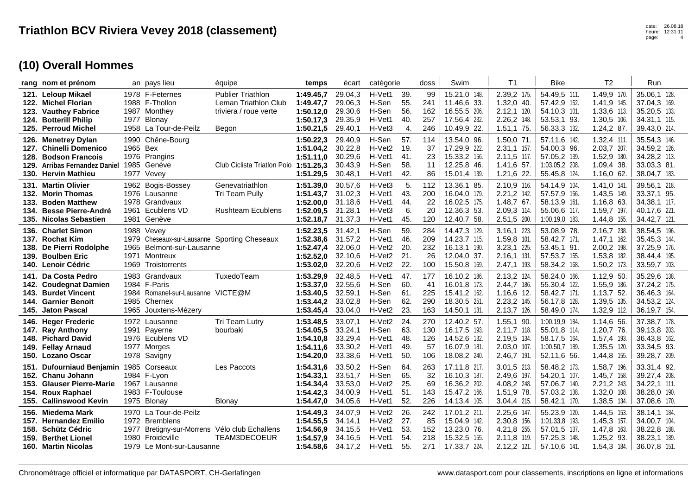|      | rang nom et prénom                                                                                                            |                      | an pays lieu                                                                                                                    | équipe                                                                             | temps                                                         | écart                                               | catégorie                                                 |                                 | doss                           | Swim                                                                         | T <sub>1</sub>                                                              | Bike                                                                          | Т2                                                                         | Run                                                                          |
|------|-------------------------------------------------------------------------------------------------------------------------------|----------------------|---------------------------------------------------------------------------------------------------------------------------------|------------------------------------------------------------------------------------|---------------------------------------------------------------|-----------------------------------------------------|-----------------------------------------------------------|---------------------------------|--------------------------------|------------------------------------------------------------------------------|-----------------------------------------------------------------------------|-------------------------------------------------------------------------------|----------------------------------------------------------------------------|------------------------------------------------------------------------------|
| 123. | 121. Leloup Mikael<br>122. Michel Florian<br><b>Vauthey Fabrice</b><br>124. Botterill Philip<br>125. Perroud Michel           |                      | 1978 F-Feternes<br>1988 F-Thollon<br>1987 Monthey<br>1977 Blonay<br>1958 La Tour-de-Peilz                                       | <b>Publier Triathlon</b><br>Leman Triathlon Club<br>triviera / roue verte<br>Begon | 1:49.45.7<br>1:49.47.7<br>1:50.12,0<br>1:50.17,3<br>1:50.21,5 | 29.04.3<br>29.06,3<br>29.30.6<br>29.35,9<br>29.40,1 | H-Vet1<br>H-Sen<br>H-Sen<br>H-Vet1<br>H-Vet3              | 39.<br>55.<br>56.<br>40.<br>4.  | 99<br>241<br>162<br>257<br>246 | 15.21,0 148.<br>11.46,6 33.<br>16.55.5 206.<br>17.56,4 232.<br>10.49,9 22.   | 2.39,2 175.<br>$1.32,0$ 40.<br>$2.12,1$ 120.<br>2.26,2 148.<br>$1.51,1$ 75. | 54.49,5 111.<br>57.42,9 152.<br>54.10.3 101.<br>53.53,1 93<br>56.33,3 132.    | 1.49,9 170.<br>1.41,9 145.<br>1.33,6 113.<br>1.30,5 106.<br>$1.24, 2.87$ . | 35.06,1 128.<br>37.04,3 169.<br>35.20,5 133.<br>34.31,1 115.<br>39.43,0 214. |
|      | 126. Menetrey Dylan<br>127. Chinelli Domenico<br>128. Bodson Francois<br>129. Arribas Fernandez Daniel<br>130. Hervin Mathieu | 1965 Bex             | 1990 Chêne-Bourg<br>1976 Prangins<br>1985 Genève<br>1977 Vevey                                                                  | Club Ciclista Triatlon Poio 1:51.25,3                                              | 1:50.22.3<br>1:51.04,2<br>1:51.11.0<br>1:51.29,5              | 29.40.9<br>30.22,8<br>30.29.6<br>30.43,9<br>30.48,1 | H-Sen<br>H-Vet <sub>2</sub><br>H-Vet1<br>H-Sen<br>H-Vet1  | 57.<br>19.<br>41.<br>58.<br>42. | 114<br>37<br>23<br>11<br>86    | 13.54,0 96.<br>17.29,9 222.<br>15.33,2 156.<br>12.25,8 46.<br>15.01,4 139.   | 1.50.0 71.<br>2.31,1 157.<br>2.11,5 117.<br>1.41,6 57.<br>$1.21,6$ 22.      | 57.11.6 142.<br>54.00.3 96.<br>57.05,2 139.<br>1:03.05,2 208<br>55.45,8 124.  | 1.32,4 111<br>2.03,7 207.<br>1.52,9 180.<br>$1.09,4$ 38.<br>$1.16,0$ 62.   | 35.54,3 146.<br>34.59,2 126.<br>34.28,2 113.<br>33.03,3 81.<br>38.04,7 183.  |
| 133. | 131. Martin Olivier<br>132. Morin Thomas<br><b>Boden Matthew</b><br>134. Besse Pierre-André<br>135. Nicolas Sebastien         | 1961                 | 1962 Bogis-Bossey<br>1976 Lausanne<br>1978 Grandvaux<br>Ecublens VD<br>1981 Genève                                              | Genevatriathlon<br>Tri Team Pully<br><b>Rushteam Ecublens</b>                      | 1:51.39,0<br>1:51.43.7<br>1:52.00.0<br>1:52.09,5<br>1:52.18,7 | 30.57,6<br>31.02,3<br>31.18.6<br>31.28,1<br>31.37,3 | H-Vet3<br>H-Vet1<br>H-Vet1<br>H-Vet3<br>H-Vet1            | 5.<br>43.<br>44.<br>6.<br>45.   | 112<br>200<br>22<br>20<br>120  | 13.36,1 85.<br>16.04,0 179.<br>16.02,5 175.<br>12.36,3 53.<br>12.40,7 58.    | 2.10,9 116.<br>2.21,2 142.<br>$1.48,767$ .<br>2.09,3 114.<br>2.51,5 200.    | 54.14,9 104<br>57.57,9 156<br>58.13,9 161.<br>55.06,6 117.<br>1:00.19,0 183.  | 1.41,0 141<br>1.43,5 149.<br>1.16,8 63.<br>1.59,7 197.<br>1.44,8 155.      | 39.56,1 218.<br>33.37,1 95.<br>34.38,1 117.<br>40.17,6 221.<br>34.42,7 121.  |
|      | 136. Charlet Simon<br>137. Rochat Kim<br>138. De Pierri Rodolphe<br>139. Boulben Eric<br>140. Lenoir Cédric                   | 1979<br>1965<br>1971 | 1988 Vevey<br>Cheseaux-sur-Lausanne Sporting Cheseaux<br>Belmont-sur-Lausanne<br>Montreux<br>1969 Troistorrents                 |                                                                                    | 1:52.23,5<br>1:52.38.6<br>1:52.47.4<br>1:52.52,0<br>1:53.02,0 | 31.42,1<br>31.57,2<br>32,06.0<br>32.10,6<br>32.20,6 | H-Sen<br>H-Vet1<br>H-Vet2<br>H-Vet2<br>H-Vet <sub>2</sub> | 59.<br>46.<br>20.<br>21.<br>22. | 284<br>209<br>232<br>26<br>100 | 14.47,3 129.<br>14.23,7 115.<br>16.13.1 190.<br>12.04,0 37.<br>15.50,8 169.  | 3.16,1 223.<br>1.59,8 101.<br>3.23,1 225.<br>$2.16,1$ 131.<br>2.47,1 193.   | 53.08,9 78<br>58.42,7 171<br>53.45.1 91.<br>57.53,7 155.<br>58.34,2 168.      | 2.16,7 238.<br>1.47,1 162.<br>2.00,2 198.<br>1.53,8 182.<br>$1.50,2$ 173.  | 38.54,5 196.<br>35.45,3 144.<br>37.25,9 176.<br>38.44,4 195.<br>33.59,7 103. |
|      | 141. Da Costa Pedro<br>142. Coudegnat Damien<br>143. Burdet Vincent<br>144. Garnier Benoit<br>145. Jaton Pascal               |                      | 1983 Grandvaux<br>1984 F-Paris<br>1984 Romanel-sur-Lausanne VICTE@M<br>1985 Chernex<br>1965 Jouxtens-Mézery                     | TuxedoTeam                                                                         | 1:53.29,9<br>1:53.37.0<br>1:53.40.5<br>1:53.44,2<br>1:53.45.4 | 32.48,5<br>32.55,6<br>32.59.1<br>33.02,8<br>33.04,0 | H-Vet1<br>H-Sen<br>H-Sen<br>H-Sen<br>H-Vet <sub>2</sub>   | 47.<br>60.<br>61.<br>62.<br>23. | 177<br>41<br>225<br>290<br>163 | 16.10,2 186.<br>16.01.8 173.<br>15.41,2 162.<br>18.30,5 251.<br>14.50,1 131. | 2.13,2 124.<br>2.44,7 186.<br>$1.16,6$ 12.<br>2.23,2 145.<br>2.13,7 126.    | 58.24,0 166.<br>55.30,4 122.<br>58.42.7 171.<br>56.17,8 128.<br>58.49,0 174.  | 1.12,9 50.<br>1.55,9 186.<br>1.13,752.<br>1.39,5 135.<br>1.32,9 112.       | 35.29,6 138.<br>37.24,2 175.<br>36.46,3 164.<br>34.53,2 124.<br>36.19,7 154. |
|      | 146. Heger Frederic<br>147. Ray Anthony<br>148. Pichard David<br>149. Fellay Arnaud<br>150. Lozano Oscar                      |                      | 1972 Lausanne<br>1991 Payerne<br>1976 Ecublens VD<br>1977 Morges<br>1978 Savigny                                                | Tri Team Lutry<br>bourbaki                                                         | 1:53.48,5<br>1:54.05.5<br>1:54.10.8<br>1:54.11.6<br>1:54.20,0 | 33.07,1<br>33.24,1<br>33.29.4<br>33.30,2<br>33.38,6 | H-Vet2<br>H-Sen<br>H-Vet1<br>H-Vet1<br>H-Vet1             | 24.<br>63.<br>48.<br>49.<br>50. | 270<br>130<br>126<br>57<br>106 | 12.40,2 57.<br>16.17.5 193.<br>14.52,6 132.<br>16.07.9 181.<br>18.08,2 240.  | 1.55,1 90.<br>$2.11.7$ 118.<br>2.19,5 134.<br>2.03,0 107.<br>2.46,7 191.    | 1:00.19,9 184.<br>55.01.8 114<br>58.17.5 164<br>1:00.50,7 189.<br>52.11.6 56. | 1.14,6 56.<br>1.20,7 76.<br>1.57,4 193.<br>1.35,5 120.<br>1.44,8 155.      | 37.38,7 178.<br>39.13.8 203.<br>36.43.8 162.<br>33.34,5 93.<br>39.28,7 209.  |
|      | 151. Dufourniaud Benjamin<br>152. Chanu Johann<br>153. Glauser Pierre-Marie<br>154. Roux Raphael<br>155. Callinswood Kevin    |                      | 1985 Corseaux<br>1984 F-Lyon<br>1967 Lausanne<br>1983 F-Toulouse<br>1975 Blonay                                                 | Les Paccots<br>Blonay                                                              | 1:54.31,6<br>1:54.33,1<br>1:54.34,4<br>1:54.42,3<br>1:54.47.0 | 33.50,2<br>33.51.7<br>33.53.0<br>34.00,9<br>34.05,6 | H-Sen<br>H-Sen<br>H-Vet2<br>H-Vet1<br>H-Vet1              | 64.<br>65.<br>25.<br>51.<br>52. | 263<br>32<br>69<br>143<br>226  | 17.11,8 217.<br>16.10.3 187.<br>16.36,2 202.<br>15.47,2 166.<br>14.13,4 105. | 3.01,5 213.<br>2.49,6 197.<br>4.08,2 248.<br>1.51,9 78.<br>3.04,4 215.      | 58.48,2 173.<br>54.20,1 107.<br>57.06.7 140.<br>57.03,2 138.<br>58.42,1 170.  | 1.58,7 196.<br>1.45,7 158.<br>2.21,2 243.<br>1.32,0 108.<br>1.38,5 134.    | 33.31,4 92.<br>39.27,4 208.<br>34.22,1 111.<br>38.28,0 190.<br>37.08,6 170.  |
|      | 156. Miedema Mark<br>157. Hernandez Emilio<br>158. Schütz Cédric<br>159. Berthet Lionel<br>160. Martin Nicolas                | 1977<br>1980         | 1970 La Tour-de-Peilz<br>1972 Bremblens<br>Bretigny-sur-Morrens Vélo club Echallens<br>Froideville<br>1979 Le Mont-sur-Lausanne | <b>TEAM3DECOEUR</b>                                                                | 1:54.49.3<br>1:54.55.5<br>1:54.56,9<br>1:54.57.9<br>1:54.58.6 | 34.07.9<br>34.14.1<br>34.15,5<br>34.16,5<br>34.17,2 | H-Vet2<br>H-Vet2<br>H-Vet1<br>H-Vet1<br>H-Vet1            | 26.<br>27.<br>53.<br>54.<br>55. | 242<br>85<br>152<br>218<br>271 | 17.01,2 211.<br>15.04,9 142.<br>13.23,0 76.<br>15.32,5 155.<br>17.33,7 224.  | 2.25,6 147.<br>2.30,8 156.<br>4.21,8 255.<br>2.11,8 119.<br>2.12,2 121.     | 55.23,9 120.<br>1:01.33,8 193<br>57.01,5 137.<br>57.25.3 148.<br>57.10.6 141. | 1.44,5 153.<br>$1.45,3$ 157.<br>1.47,8 163.<br>1.25,2 93.<br>1.54,3 184.   | 38.14,1 184.<br>34.00,7 104.<br>38.22,8 188.<br>38.23,1 189.<br>36.07,8 151. |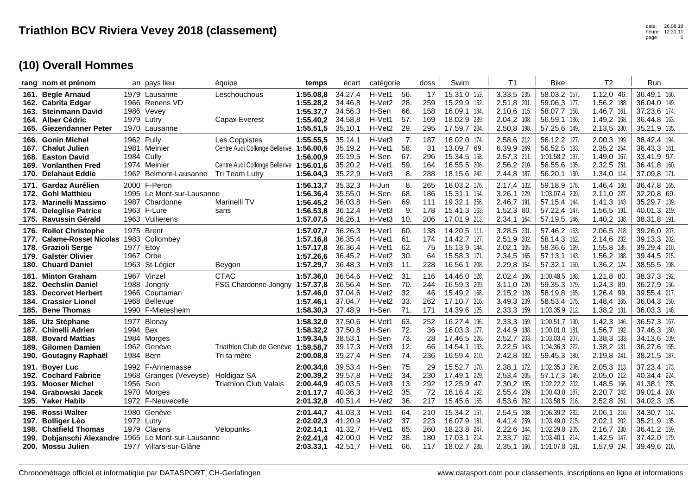|      | rang nom et prénom                                                                                                                     |                  | an pays lieu                                                                                  | équipe                                                                                                                  | temps                                                         | écart                                               | catégorie                                                                         |                                 | doss                            | Swim                                                                         | T <sub>1</sub>                                                            | <b>Bike</b>                                                                            | T <sub>2</sub>                                                            | Run                                                                          |
|------|----------------------------------------------------------------------------------------------------------------------------------------|------------------|-----------------------------------------------------------------------------------------------|-------------------------------------------------------------------------------------------------------------------------|---------------------------------------------------------------|-----------------------------------------------------|-----------------------------------------------------------------------------------|---------------------------------|---------------------------------|------------------------------------------------------------------------------|---------------------------------------------------------------------------|----------------------------------------------------------------------------------------|---------------------------------------------------------------------------|------------------------------------------------------------------------------|
| 163. | 161. Begle Arnaud<br>162. Cabrita Edgar<br><b>Steinmann David</b><br>164. Alber Cédric<br>165. Giezendanner Peter                      | 1986             | 1979 Lausanne<br>1966 Renens VD<br>Vevey<br>1979 Lutry<br>1970 Lausanne                       | Leschouchous<br>Capax Everest                                                                                           | 1:55.08.8<br>1:55.28,2<br>1:55.37,7<br>1:55.40,2<br>1:55.51,5 | 34.27,4<br>34.46,8<br>34.56,3<br>34.58,8<br>35.10,1 | H-Vet1<br>H-Vet <sub>2</sub><br>H-Sen<br>H-Vet1<br>H-Vet <sub>2</sub>             | 56.<br>28.<br>66.<br>57.<br>29. | 17<br>259<br>158<br>169<br>295  | 15.31,0 153.<br>15.29,9 152.<br>16.09,1 184.<br>18.02,9 239.<br>17.59,7 234. | 3.33,5 235.<br>2.51,8 201.<br>2.10,6 115.<br>2.04,2 108.<br>2.50,8 198.   | 58.03,2 157<br>59.06,3 177.<br>58.07,7 158.<br>56.59,1 136.<br>57.25,6 149.            | $1.12,0$ 46<br>1.56,2 188.<br>1.46,7 161.<br>1.49,2 168.<br>2.13,5 230.   | 36.49,1 166.<br>36.04,0 149.<br>37.23,6 174.<br>36.44,8 163.<br>35.21,9 135. |
|      | 166. Gonin Michel<br>167. Chalut Julien<br>168. Easton David<br>169. Vonlanthen Fred<br>170. Delahaut Eddie                            | 1981             | 1962 Pully<br>Meinier<br>1984 Cully<br>1974 Meinier<br>1962 Belmont-Lausanne                  | Les Coppistes<br>Centre Audi Collonge Bellerive 1:56.00,6<br>Centre Audi Collonge Bellerive 1:56.01,6<br>Tri Team Lutry | 1:55.55,5<br>1:56.00.9<br>1:56.04,3                           | 35.14.1<br>35.19,2<br>35.19,5<br>35.20,2<br>35.22,9 | H-Vet3<br>H-Vet1<br>H-Sen<br>H-Vet1<br>H-Vet3                                     | 7.<br>58.<br>67.<br>59.<br>8.   | 187<br>31<br>296<br>164<br>288  | 16.02,0 174.<br>13.09,7 69.<br>15.34.5 158.<br>16.55,5 206.<br>18.15.6 242.  | 2.58,6 212.<br>6.39,9 269.<br>2.57,3 211.<br>2.56,2 210.<br>2.44,8 187.   | 56.12,2 127.<br>56.52,5 133<br>1:01.58,2 197.<br>56.55,6 135.<br>56.20,1 130.          | 2.00,3 199.<br>2.35,2 254.<br>1.49,0 167.<br>2.32,5 251.<br>1.34,0 114.   | 38.42,4 194.<br>36.43,3 161.<br>33.41,9 97.<br>36.41,8 160.<br>37.09,8 171.  |
|      | 171. Gardaz Aurélien<br>172. Gohl Matthieu<br>173. Marinelli Massimo<br>174. Deleglise Patrice<br>175. Ravussin Gérald                 |                  | 2000 F-Peron<br>1995 Le Mont-sur-Lausanne<br>1987 Chardonne<br>1963 F-Lure<br>1963 Vullierens | Marinelli TV<br>sans                                                                                                    | 1:56.13,7<br>1:56.36,4<br>1:56.45.2<br>1:56.53,8<br>1:57.07,5 | 35.32,3<br>35.55,0<br>36.03.8<br>36.12,4<br>36.26,1 | H-Jun<br>H-Sen<br>H-Sen<br>H-Vet3<br>H-Vet3                                       | 8.<br>68.<br>69.<br>9.<br>10.   | 265<br>186<br>111<br>178<br>206 | 16.03,2 176.<br>15.31,1 154.<br>19.32,1 256.<br>15.41,3 163.<br>17.01,9 213. | 2.17,4 132.<br>3.26,1 229.<br>2.46,7 191.<br>1.52,3 80.<br>2.34,1 164.    | 59.18,9 178.<br>1:03.07,4 209.<br>57.15.4 144<br>57.22,4 147.<br>57.19,5 146.          | 1.46,4 160.<br>2.11,0 227.<br>$1.41,3$ 143.<br>1.56,5 191.<br>1.40,2 138. | 36.47,8 165.<br>32.20,8 69.<br>35.29,7 139.<br>40.01,3 219.<br>38.31,8 191.  |
|      | 176. Rollot Christophe<br>177. Calame-Rosset Nicolas<br>178. Grazioli Serge<br>179. Galster Olivier<br>180. Chuard Daniel              | 1983<br>1977     | 1975 Brent<br>Collombey<br>Etov<br>1967 Orbe<br>1963 St-Légier                                | Beygon                                                                                                                  | 1:57.07,7<br>1:57.16,8<br>1:57.17.8<br>1:57.26,6<br>1:57.29,7 | 36.26,3<br>36.35,4<br>36.36.4<br>36.45,2<br>36.48,3 | H-Vet1<br>H-Vet1<br>H-Vet1<br>H-Vet2<br>H-Vet3                                    | 60.<br>61.<br>62.<br>30.<br>11. | 138<br>174<br>75<br>64<br>228   | 14.20,5 111.<br>14.42,7 127.<br>15.13,9 144.<br>15.58,3 171.<br>16.56,1 208. | 3.28,5 231.<br>2.51,9 202.<br>$2.02,1$ 105.<br>2.34,5 165.<br>2.29,8 154. | 57.46,2 153<br>58.14,3 162.<br>58.36,6 169.<br>57.13,1 143.<br>57.32,1 150.            | 2.06,5 218.<br>2.14,6 232.<br>1.55,8 185.<br>1.56,2 188.<br>1.36,2 124.   | 39.26,0 207.<br>39.13,3 202.<br>39.29,4 210.<br>39.44,5 215.<br>38.55,5 198. |
|      | 181. Minton Graham<br>182. Oechslin Daniel<br>183. Decorvet Herbert<br>184. Crassier Lionel<br>185. Bene Thomas                        | 1966             | 1967 Vinzel<br>1988 Jongny<br>Courtaman<br>1968 Bellevue<br>1990 F-Mietesheim                 | <b>CTAC</b><br>FSG Chardonne-Jongny 1:57.37,8                                                                           | 1:57.36,0<br>1:57.46.0<br>1:57.46,1<br>1:58.30,3              | 36.54,6<br>36.56,4<br>37.04.6<br>37.04,7<br>37.48,9 | H-Vet2<br>H-Sen<br>H-Vet <sub>2</sub><br>H-Vet2<br>H-Sen                          | 31<br>70.<br>32.<br>33.<br>71.  | 116<br>244<br>46<br>262<br>171  | 14.46,0 128.<br>16.59,3 209.<br>15.49,2 168.<br>17.10,7 216.<br>14.39,6 125. | 2.02,4 106.<br>3.11,0 220.<br>2.15,2 128.<br>3.49,3 239.<br>2.33,3 159.   | 1:00.48,5 188.<br>59.35,3 179.<br>58.19,8 165<br>58.53,4 175.<br>1:03.35,9 212.        | 1.21,8 80<br>1.24,3 89.<br>1.26,4 99.<br>1.48,4 165.<br>1.38,2 131.       | 38.37,3 192.<br>36.27,9 156.<br>39.55,4 217.<br>36.04,3 150.<br>36.03,3 148. |
|      | 186. Utz Stéphane<br>187. Chinelli Adrien<br><b>188. Bovard Mattias</b><br>189. Gilomen Damien<br>190. Goutagny Raphaël                | 1977<br>1994 Bex | Blonay<br>1984 Morges<br>1962 Genève<br>1984 Bern                                             | Triathlon Club de Genève<br>Tri ta mère                                                                                 | 1:58.32,0<br>1:58.32,2<br>1:59.34,5<br>1:59.58.7<br>2:00.08,8 | 37.50,6<br>37.50,8<br>38.53.1<br>39.17,3<br>39.27,4 | H-Vet1<br>H-Sen<br>H-Sen<br>H-Vet3<br>H-Sen                                       | 63.<br>72.<br>73.<br>12.<br>74. | 252<br>36<br>28<br>66<br>236    | 16.27,4 196.<br>16.03.3 177.<br>17.46.5 226.<br>14.54,1 133.<br>16.59,4 210. | 2.33,3 159.<br>2.44,9 188.<br>2.52,7 203.<br>2.22,5 143.<br>2.42,8 182.   | 1:00.51,7 190.<br>1:00.01.0 181.<br>1:03.03.4 207.<br>1:04.36,3 222.<br>59.45,3 180.   | 1.42,3 146.<br>1.56,7 192.<br>1.38,3 133.<br>1.38,2 131.<br>2.19,8 241    | 36.57,3 167.<br>37.46,3 180.<br>34.13,6 109.<br>36.27,6 155.<br>38.21,5 187. |
|      | 191. Boyer Luc<br>192. Cochard Fabrice<br>193. Mooser Michel<br>194. Grabowski Jacek<br>195. Yaker Habib                               | 1956 Sion        | 1992 F-Annemasse<br>1968 Granges (Veveyse)<br>1970 Morges<br>1972 F-Neuvecelle                | Holdigaz SA<br><b>Triathlon Club Valais</b>                                                                             | 2:00.34,8<br>2:00.39,2<br>2:00.44,9<br>2:01.17.7<br>2:01.32,8 | 39.53,4<br>39.57,8<br>40.03.5<br>40.36,3<br>40.51,4 | H-Sen<br>H-Vet <sub>2</sub><br>H-Vet3<br>H-Vet <sub>2</sub><br>H-Vet <sub>2</sub> | 75.<br>34.<br>13.<br>35.<br>36. | 29<br>230<br>292<br>72<br>217   | 15.52,7 170.<br>17.49,1 229.<br>12.25,9 47.<br>16.16,4 192.<br>15.45,6 165.  | 2.38,1 172.<br>2.53,4 205.<br>2.30,2 155.<br>2.55,4 209.<br>4.53,6 262.   | 1:02.35,3 206.<br>57.17,3 145.<br>1:02.22.2 202.<br>1:00.43,8 187<br>1:03.58,5 216.    | 2.05,3 213.<br>2.05,0 212.<br>1.48,5 166.<br>2.20,7 242.<br>2.52,8 261    | 37.23,4 173.<br>40.34,4 224.<br>41.38,1 235.<br>39.01,4 200.<br>34.02,3 105. |
| 199. | 196. Rossi Walter<br>197. Bolliger Léo<br>198. Chatfield Thomas<br>Dobjanschi Alexandre 1965 Le Mont-sur-Lausanne<br>200. Mossu Julien | 1979             | 1980 Genève<br>1972 Lutry<br>Clarens<br>1977 Villars-sur-Glâne                                | Velopunks                                                                                                               | 2:01.44,7<br>2:02.02,3<br>2:02.14.1<br>2:02.41.4<br>2:03.33,1 | 41.03,3<br>41.20,9<br>41.32,7<br>42.00,0<br>42.51,7 | H-Vet1<br>H-Vet <sub>2</sub><br>H-Vet1<br>H-Vet <sub>2</sub><br>H-Vet1            | 64.<br>37.<br>65.<br>38.<br>66. | 210<br>223<br>260<br>180<br>117 | 15.34,2 157.<br>16.07.9 181.<br>18.23,8 247.<br>17.03.1 214.<br>18.02,7 238. | 2.54,5 208.<br>4.41,4 259.<br>2.22,6 144.<br>2.33,7 162.<br>$2.35,1$ 166. | 1:06.39,2 232.<br>1:03.49,0 215.<br>1:02.29,8 205.<br>1:03.40,1 214.<br>1:01.07,8 191. | 2.06,1 216.<br>2.02,1 202.<br>2.16,7 238.<br>1.42,5 147.<br>1.57,9 194.   | 34.30,7 114.<br>35.21,9 135.<br>36.41,2 159.<br>37.42,0 179.<br>39.49,6 216. |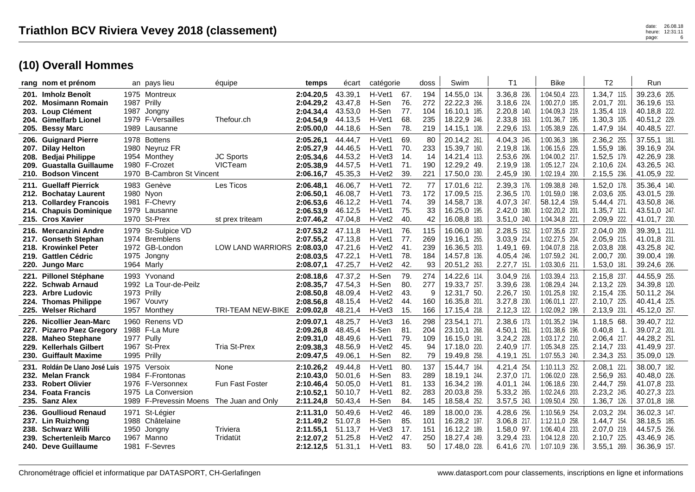|      | rang nom et prénom                                                                                                               |                           | an pays lieu                                                                                         | équipe                                       | temps                                                         | écart                                               | catégorie                                      |                                 | doss                            | Swim                                                                         | T1                                                                       | <b>Bike</b>                                                                           | T <sub>2</sub>                                                            | Run                                                                          |
|------|----------------------------------------------------------------------------------------------------------------------------------|---------------------------|------------------------------------------------------------------------------------------------------|----------------------------------------------|---------------------------------------------------------------|-----------------------------------------------------|------------------------------------------------|---------------------------------|---------------------------------|------------------------------------------------------------------------------|--------------------------------------------------------------------------|---------------------------------------------------------------------------------------|---------------------------------------------------------------------------|------------------------------------------------------------------------------|
|      | 201. Imholz Benoît<br>202. Mosimann Romain<br>203. Loup Clément<br>204. Gimelfarb Lionel<br>205. Bessy Marc                      |                           | 1975 Montreux<br>1987 Prilly<br>1987 Jongny<br>1979 F-Versailles<br>1989 Lausanne                    | Thefour.ch                                   | 2:04.20,5<br>2:04.29,2<br>2:04.34,4<br>2:04.54,9<br>2:05.00,0 | 43.39.1<br>43.47,8<br>43.53,0<br>44.13,5<br>44.18,6 | H-Vet1<br>H-Sen<br>H-Sen<br>H-Vet1<br>H-Sen    | 67.<br>76.<br>77.<br>68.<br>78. | 194<br>272<br>104<br>235<br>219 | 14.55.0 134.<br>22.22,3 266.<br>16.10.1 185.<br>18.22,9 246.<br>14.15,1 108. | 3.36,8 236.<br>3.18,6 224.<br>2.20,8 140.<br>2.33,8 163.<br>2.29,6 153.  | 1:04.50.4 223<br>1:00.27,0 185.<br>1:04.09,3 219.<br>1:01.36,7 195<br>1:05.38,9 226.  | 1.34.7 115.<br>2.01,7 201.<br>1.35,4 119.<br>1.30,3 105.<br>1.47,9 164.   | 39.23,6 205.<br>36.19,6 153.<br>40.18.8 222.<br>40.51,2 229.<br>40.48,5 227. |
|      | 206. Guignard Pierre<br>207. Dilay Helton<br>208. Bedjai Philippe<br>209. Guastalla Guillaume<br>210. Bodson Vincent             |                           | 1978 Bottens<br>1980 Neyruz FR<br>1954 Monthey<br>1980 F-Crozet<br>1970 B-Cambron St Vincent         | <b>JC Sports</b><br>VICTeam                  | 2:05.26.1<br>2:05.27,9<br>2:05.34,6<br>2:05.38,9<br>2:06.16,7 | 44.44,7<br>44.46,5<br>44.53,2<br>44.57.5<br>45.35,3 | H-Vet1<br>H-Vet1<br>H-Vet3<br>H-Vet1<br>H-Vet2 | 69.<br>70.<br>14.<br>71.<br>39. | 80<br>233<br>14<br>190<br>221   | 20.14,2 261<br>15.39,7 160.<br>14.21,4 113.<br>12.29,2 49.<br>17.50,0 230.   | 4.04,3 245.<br>2.19,8 136.<br>2.53,6 206.<br>2.19,9 138.<br>2.45,9 190.  | 1:00.36,3 186.<br>1:06.15,6 229.<br>1:04.00,2 217.<br>1:05.12.7 224<br>1:02.19,4 200. | 2.36,2 255<br>1.55,9 186.<br>1.52,5 179.<br>2.10,6 224.<br>2.15,5 236.    | 37.55,1 181.<br>39.16,9 204.<br>42.26,9 238.<br>43.26,5 243.<br>41.05,9 232. |
|      | 211. Guellaff Pierrick<br>212. Bochatay Laurent<br>213. Collardey Francois<br>214. Chapuis Dominique<br>215. Cros Xavier         |                           | 1983 Genève<br>1980 Nyon<br>1981 F-Chevry<br>1979 Lausanne<br>1970 St-Prex                           | Les Ticos<br>st prex triteam                 | 2:06.48,1<br>2:06.50,1<br>2:06.53.6<br>2:06.53,9<br>2:07.46,2 | 46.06.7<br>46.08,7<br>46.12,2<br>46.12,5<br>47.04,8 | H-Vet1<br>H-Vet1<br>H-Vet1<br>H-Vet1<br>H-Vet2 | 72.<br>73.<br>74.<br>75.<br>40. | 77<br>172<br>39<br>33<br>42     | 17.01,6 212.<br>17.09,5 215.<br>14.58,7 138.<br>16.25,0 195.<br>16.08,8 183. | 2.39,3 176.<br>2.36,5 170.<br>4.07,3 247.<br>2.42,0 180.<br>3.51,0 240.  | 1:09.38.8 249.<br>1:01.59,0 198.<br>58.12,4 159.<br>1:02.20,2 201.<br>1:04.34,8 221.  | 1.52,0 178.<br>2.03,6 205.<br>5.44,4 271.<br>1.35,7 121.<br>2.09,9 222.   | 35.36,4 140.<br>43.01,5 239.<br>43.50,8 246.<br>43.51,0 247.<br>41.01,7 230. |
|      | 216. Mercanzini Andre<br>217. Gonseth Stephan<br>218. Krowinkel Peter<br>219. Gattlen Cédric<br>220. Jungo Marc                  |                           | 1979 St-Sulpice VD<br>1974 Bremblens<br>1972 GB-London<br>1975 Jongny<br>1964 Marly                  | LOW LAND WARRIORS 2:08.03,0                  | 2:07.53.2<br>2:07.55,2<br>2:08.03,5<br>2:08.07,1              | 47.11,8<br>47.13,8<br>47.21,6<br>47.22,1<br>47.25,7 | H-Vet1<br>H-Vet1<br>H-Vet2<br>H-Vet1<br>H-Vet2 | 76.<br>77.<br>41.<br>78.<br>42. | 115<br>269<br>239<br>184<br>93  | 16.06,0 180.<br>19.16,1 255.<br>16.36,5 203.<br>14.57,8 136.<br>20.51,2 263. | 2.28,5 152.<br>3.03,9 214.<br>1.49,1 69.<br>4.05,4 246.<br>$2.27,7$ 151. | 1:07.35,6 237.<br>1:02.27,5 204<br>1:04.07.8 218.<br>1:07.59,2 241<br>1:03.30,6 211.  | 2.04,0 209.<br>2.05,9 215.<br>2.03,8 208.<br>2.00,7 200.<br>1.53,0 181    | 39.39,1 211.<br>41.01,8 231.<br>43.25,8 242.<br>39.00,4 199.<br>39.24,6 206. |
| 223. | 221. Pillonel Stéphane<br>222. Schwab Arnaud<br><b>Arbre Ludovic</b><br>224. Thomas Philippe<br>225. Welser Richard              | 1973 Prilly               | 1993 Yvonand<br>1992 La Tour-de-Peilz<br>1967 Vouvry<br>1957 Monthey                                 | <b>TRI-TEAM NEW-BIKE</b>                     | 2:08.18.6<br>2:08.35,7<br>2:08.50.8<br>2:08.56,8<br>2:09.02,8 | 47.37,2<br>47.54,3<br>48.09,4<br>48.15,4<br>48.21,4 | H-Sen<br>H-Sen<br>H-Vet2<br>H-Vet2<br>H-Vet3   | 79.<br>80.<br>43.<br>44.<br>15. | 274<br>277<br>9<br>160<br>166   | 14.22,6 114.<br>19.33,7 257.<br>12.31,7 50.<br>16.35,8 201.<br>17.15,4 218.  | 3.04,9 216.<br>3.39,6 238.<br>2.26,7 150.<br>3.27,8 230.<br>2.12,3 122.  | 1:03.39,4 213.<br>1:08.29,4 244<br>1:01.25,8 192.<br>1:06.01,1 227.<br>1:02.09,2 199. | 2.15,8 237<br>2.13,2 229.<br>2.15,4 235.<br>2.10,7 225.<br>2.13,9 231.    | 44.55,9 255.<br>34.39,8 120.<br>50.11,2 264.<br>40.41,4 225.<br>45.12,0 257. |
|      | 226. Nicollier Jean-Marc<br>227. Pizarro Paez Gregory<br>228. Maheo Stephane<br>229. Kellerhals Gilbert<br>230. Guiffault Maxime | 1977 Pully<br>1995 Prilly | 1960 Renens VD<br>1988 F-La Mure<br>1967 St-Prex                                                     | <b>Tria St-Prex</b>                          | 2:09.07,1<br>2:09.26.8<br>2:09.31,0<br>2:09.38,3<br>2:09.47,5 | 48.25,7<br>48.45,4<br>48.49,6<br>48.56,9<br>49.06.1 | H-Vet3<br>H-Sen<br>H-Vet1<br>H-Vet2<br>H-Sen   | 16.<br>81.<br>79.<br>45.<br>82. | 298<br>204<br>109<br>94<br>79   | 23.54,1 271.<br>23.10.1 268.<br>16.15,0 191.<br>17.18,0 220.<br>19.49,8 258. | 2.38,6 173.<br>4.50,1 261.<br>3.24,2 228.<br>2.40,9 177.<br>4.19,1 251.  | 1:01.35,2 194.<br>1:01.38,6 196<br>1:03.17,2 210.<br>1:05.34,8 225.<br>1:07.55,3 240. | 1.18,5 68.<br>0.40.8<br>$-1$<br>2.06,4 217.<br>2.14,7 233.<br>2.34,3 253. | 39.40,7 212.<br>39.07,2 201.<br>44.28,2 251.<br>41.49,9 237.<br>35.09,0 129. |
|      | 231. Roldán De Llano José Luis<br>232. Melan Franck<br>233. Robert Olivier<br>234. Foata Francis<br>235. Sanz Alex               |                           | 1975 Versoix<br>1984 F-Frontonas<br>1976 F-Versonnex<br>1975 La Conversion<br>1989 F-Prevessin Moens | None<br>Fun Fast Foster<br>The Juan and Only | 2:10.26,2<br>2:10.43,0<br>2:10.46,4<br>2:10.52,1<br>2:11.24,8 | 49.44,8<br>50.01.6<br>50.05,0<br>50.10,7<br>50.43,4 | H-Vet1<br>H-Sen<br>H-Vet1<br>H-Vet1<br>H-Sen   | 80.<br>83.<br>81.<br>82.<br>84. | 137<br>289<br>133<br>283<br>145 | 15.44,7 164.<br>18.19.1 244.<br>16.34,2 199.<br>20.03,8 259.<br>18.58,4 252. | 4.21,4 254.<br>2.37,0 171.<br>4.01,1 244.<br>5.33,2 265.<br>3.57,5 243.  | 1:10.11,3 252.<br>1:06.02,0 228<br>1:06.18,6 230.<br>1:02.24,6 203.<br>1:09.50,4 250. | 2.08,1 221<br>2.56,9 263.<br>2.44,7 259.<br>2.23,2 245.<br>1.36,7 126.    | 38.00,7 182.<br>40.48,0 226.<br>41.07,8 233.<br>40.27,3 223.<br>37.01,8 168. |
|      | 236. Goullioud Renaud<br>237. Lin Ruizhong<br>238. Schwarz Willi<br>239. Schertenleib Marco<br>240. Deve Guillaume               | 1950                      | 1971 St-Légier<br>1988 Châtelaine<br>Jongny<br>1967 Manno<br>1981 F-Sevres                           | Triviera<br>Tridatüt                         | 2:11.31,0<br>2:11.49.2<br>2:11.55,1<br>2:12.07.2<br>2:12.12,5 | 50.49,6<br>51.07.8<br>51.13,7<br>51.25,8<br>51.31,1 | H-Vet2<br>H-Sen<br>H-Vet3<br>H-Vet2<br>H-Vet1  | 46.<br>85.<br>17.<br>47.<br>83. | 189<br>101<br>151<br>250<br>50  | 18.00,0 236.<br>16.28,2 197.<br>16.12,2 189.<br>18.27.4 249.<br>17.48,0 228. | 4.28,6 256.<br>3.06,8 217.<br>1.58,0 97.<br>3.29,4 233.<br>6.41,6 270.   | 1:10.56,9 254<br>1:12.11.0 258.<br>1:06.40,4 233<br>1:04.12,8 220<br>1:07.10,9 236.   | 2.03,2 204.<br>1.44,7 154<br>2.07,0 219.<br>2.10,7 225.<br>3.55,1 269.    | 36.02,3 147.<br>38.18,5 185.<br>44.57,5 256.<br>43.46,9 245.<br>36.36,9 157. |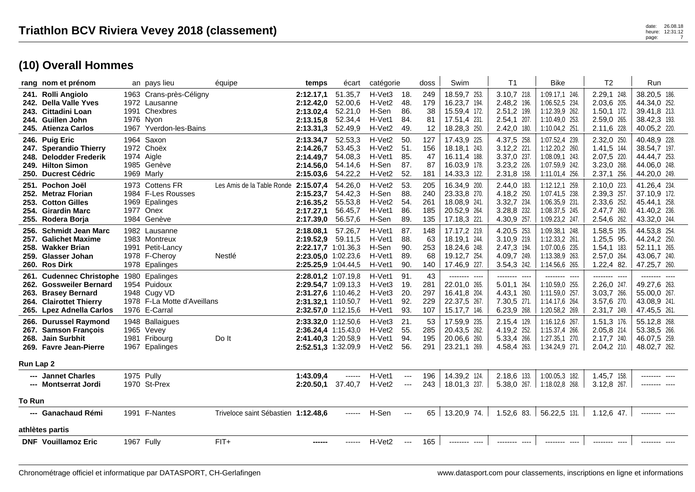|              | rang nom et prénom                                                                                                                  |            | an pays lieu                                                                                     | équipe                               | temps                                                                                                           | écart                                               | catégorie                                                                         |                                 | doss                            | Swim                                                                          | T <sub>1</sub>                                                                | <b>Bike</b>                                                                            | T <sub>2</sub>                                                            | Run                                                                               |
|--------------|-------------------------------------------------------------------------------------------------------------------------------------|------------|--------------------------------------------------------------------------------------------------|--------------------------------------|-----------------------------------------------------------------------------------------------------------------|-----------------------------------------------------|-----------------------------------------------------------------------------------|---------------------------------|---------------------------------|-------------------------------------------------------------------------------|-------------------------------------------------------------------------------|----------------------------------------------------------------------------------------|---------------------------------------------------------------------------|-----------------------------------------------------------------------------------|
| 241.<br>243. | <b>Rolli Angiolo</b><br>242. Della Valle Yves<br>Cittadini Loan<br>244. Guillen John<br>245. Atienza Carlos                         |            | 1963 Crans-près-Céligny<br>1972 Lausanne<br>1991 Chexbres<br>1976 Nyon<br>1967 Yverdon-les-Bains |                                      | 2:12.17,1<br>2:12.42,0<br>2:13.02,4<br>2:13.15,8<br>2:13.31,3                                                   | 51.35,7<br>52.00,6<br>52.21,0<br>52.34,4<br>52.49,9 | H-Vet3<br>H-Vet <sub>2</sub><br>H-Sen<br>H-Vet1<br>H-Vet2                         | 18.<br>48.<br>86.<br>84.<br>49. | 249<br>179<br>38<br>81<br>12    | 18.59,7 253.<br>16.23,7 194.<br>15.59,4 172.<br>17.51,4 231.<br>18.28,3 250.  | 3.10,7 218.<br>2.48,2 196.<br>2.51,2 199.<br>$2.54,1$ 207.<br>2.42,0 180.     | 1:09.17.1 246.<br>1:06.52,5 234.<br>1:12.39,9 262.<br>1:10.49,0 253.<br>1:10.04,2 251. | 2.29,1 248<br>2.03,6 205.<br>$1.50,1$ 172.<br>2.59,0 265.<br>2.11,6 228.  | 38.20,5 186.<br>44.34,0 252.<br>39.41,8 213.<br>38.42,3 193.<br>40.05,2 220.      |
|              | 246. Puig Eric<br>247. Sperandio Thierry<br>248. Delodder Frederik<br>249. Hilton Simon<br>250. Ducrest Cédric                      |            | 1964 Saxon<br>1972 Choëx<br>1974 Aigle<br>1985 Genève<br>1969 Marly                              |                                      | 2:13.34,7<br>2:14.26,7<br>2:14.49,7<br>2:14.56,0<br>2:15.03,6                                                   | 52.53,3<br>53.45,3<br>54.08,3<br>54.14,6<br>54.22,2 | H-Vet <sub>2</sub><br>H-Vet <sub>2</sub><br>H-Vet1<br>H-Sen<br>H-Vet <sub>2</sub> | 50.<br>51.<br>85.<br>87.<br>52. | 127<br>156<br>47<br>87<br>181   | 17.43,9 225.<br>18.18,1 243.<br>16.11,4 188.<br>16.03,9 178.<br>14.33,3 122.  | 4.37,5 258.<br>3.12,2 221.<br>3.37,0 237.<br>3.23,2 226.<br>2.31,8 158.       | 1:07.52,4 239.<br>1:12.20.2 260.<br>1:08.09,1 243.<br>1:07.59,9 242.<br>1:11.01,4 256. | 2.32,0 250<br>1.41.5 144<br>2.07,5 220.<br>3.23,0 268.<br>$2.37,1$ 256.   | 40.48,9 228.<br>38.54,7 197.<br>44.44,7 253.<br>44.06,0 248.<br>44.20,0 249.      |
| 251.<br>253. | Pochon Joël<br>252. Metraz Florian<br><b>Cotton Gilles</b><br>254. Girardin Marc<br>255. Rodera Borja                               |            | 1973 Cottens FR<br>1984 F-Les Rousses<br>1969 Epalinges<br>1977 Onex<br>1984 Genève              | Les Amis de la Table Ronde 2:15.07,4 | 2:15.23.7<br>2:16.35,2<br>2:17.27,1<br>2:17.39,0                                                                | 54.26,0<br>54.42,3<br>55.53,8<br>56.45,7<br>56.57,6 | H-Vet2<br>H-Sen<br>H-Vet2<br>H-Vet1<br>H-Sen                                      | 53.<br>88.<br>54.<br>86.<br>89. | 205<br>240<br>261<br>185<br>135 | 16.34,9 200.<br>23.33,8 270.<br>18.08,9 241.<br>20.52,9 264.<br>17.18,3 221.  | 2.44,0 183.<br>4.18,2 250.<br>3.32,7 234.<br>3.28,8 232.<br>4.30,9 257.       | 1:12.12,1 259.<br>1:07.41,5 238.<br>1:06.35,9 231.<br>1:08.37,5 245.<br>1:09.23,2 247. | 2.10,0 223.<br>2.39,3 257.<br>2.33,6 252.<br>2.47,7 260.<br>2.54,6 262.   | 41.26,4 234.<br>37.10,9 172.<br>45.44,1 258.<br>41.40,2 236.<br>43.32,0 244.      |
| 256.         | <b>Schmidt Jean Marc</b><br>257. Galichet Maxime<br>258. Wakker Brian<br>259. Glasser Johan<br>260. Ros Dirk                        |            | 1982 Lausanne<br>1983 Montreux<br>1991 Petit-Lancy<br>1978 F-Cheroy<br>1978 Epalinges            | Nestlé                               | 2:18.08,1<br>2:19.52,9 59.11,5<br>2:22.17.7 1:01.36,3<br>2:23.05.0 1:02.23,6<br>2:25.25,9 1:04.44,5             | 57.26.7                                             | H-Vet1<br>H-Vet1<br>H-Sen<br>H-Vet1<br>H-Vet1                                     | 87.<br>88.<br>90.<br>89.<br>90. | 148<br>63<br>253<br>68<br>140   | 17.17,2 219.<br>18.19.1 244.<br>18.24,6 248.<br>19.12,7 254.<br>17.46,9 227.  | 4.20,5 253.<br>3.10,9 219.<br>2.47,3 194.<br>4.09,7 249.<br>3.54,3 242.       | 1:09.38,1 248.<br>1:12.33,2 261.<br>1:07.00,6 235.<br>1:13.38,9 263.<br>1:14.56,6 265. | 1.58,5 195.<br>1.25.5 95.<br>$1.54, 1$ 183.<br>2.57,0 264.<br>1.22,4 82.  | 44.53,8 254.<br>44.24,2 250.<br>52.11,1 265.<br>43.06,7 240.<br>47.25,7 260.      |
| 261.         | <b>Cudennec Christophe</b><br>262. Gossweiler Bernard<br>263. Brasey Bernard<br>264. Clairottet Thierry<br>265. Lpez Adnella Carlos |            | 1980 Epalinges<br>1954 Puidoux<br>1948 Cugy VD<br>1978 F-La Motte d'Aveillans<br>1976 E-Carral   |                                      | 2:28.01.2 1:07.19,8<br>2:29.54,7 1:09.13,3<br>2:31.27,6 1:10.46,2<br>2:31.32,1 1:10.50,7<br>2:32.57,0 1:12.15,6 |                                                     | H-Vet1<br>H-Vet3<br>H-Vet3<br>H-Vet1<br>H-Vet1                                    | 91.<br>19.<br>20.<br>92.<br>93. | 43<br>281<br>297<br>229<br>107  | -------- ----<br>22.01,0 265.<br>16.41,8 204.<br>22.37,5 267.<br>15.17,7 146. | --------<br>$---$<br>5.01,1 264.<br>4.43,1 260.<br>7.30,5 271.<br>6.23,9 268. | -------- ----<br>1:10.59,0 255.<br>1:11.59,0 257.<br>1:14.17,6 264.<br>1:20.58,2 269.  | -------- ----<br>2.26,0 247.<br>3.03,7 266.<br>3.57,6 270.<br>2.31,7 249. | $---$<br>--------<br>49.27,6 263.<br>55.00,0 267.<br>43.08,9 241.<br>47.45,5 261. |
| Run Lap 2    | 266. Durussel Raymond<br>267. Samson François<br>268. Jain Surbhit<br>269. Favre Jean-Pierre                                        |            | 1948 Ballaigues<br>1965 Vevey<br>1981 Fribourg<br>1967 Epalinges                                 | Do It                                | 2:33.32,0 1:12.50,6<br>2:36.24,4 1:15.43,0<br>2:41.40,3 1:20.58,9<br>2:52.51,3 1:32.09,9                        |                                                     | H-Vet3<br>H-Vet <sub>2</sub><br>H-Vet1<br>H-Vet <sub>2</sub>                      | 21.<br>55.<br>94.<br>56.        | 53<br>285<br>195<br>291         | 17.59,9 235.<br>20.43,5 262.<br>20.06,6 260.<br>23.21,1 269.                  | 2.15,4 129.<br>4.19,2 252.<br>5.33,4 266.<br>4.58,4 263.                      | 1:16.12,6 267.<br>1:15.37,4 266.<br>1:27.35,1 270.<br>1:34.24,9 271.                   | 1.51,3 176.<br>2.05,8 214.<br>2.17,7 240.<br>$2.04,2$ 210.                | 55.12,8 268.<br>53.38,5 266.<br>46.07,5 259.<br>48.02,7 262.                      |
|              | --- Jannet Charles<br>--- Montserrat Jordi                                                                                          |            | 1975 Pully<br>1970 St-Prex                                                                       |                                      | 1:43.09,4<br>2:20.50,1                                                                                          | ------<br>37.40,7                                   | H-Vet1<br>H-Vet2                                                                  | $\cdots$<br>$\qquad \qquad -$   | 196<br>243                      | 14.39,2 124.<br>18.01,3 237.                                                  | 2.18,6 133.<br>5.38,0 267.                                                    | 1:00.05,3 182.<br>1:18.02,8 268.                                                       | 1.45,7 158.<br>$3.12,8$ 267.                                              | -------- ---                                                                      |
| To Run       |                                                                                                                                     |            |                                                                                                  |                                      |                                                                                                                 |                                                     |                                                                                   |                                 |                                 |                                                                               |                                                                               |                                                                                        |                                                                           |                                                                                   |
|              | --- Ganachaud Rémi                                                                                                                  |            | 1991 F-Nantes                                                                                    | Triveloce saint Sébastien 1:12.48,6  |                                                                                                                 | ------                                              | H-Sen                                                                             | $\qquad \qquad -$               | 65                              | 13.20,9 74.                                                                   | $1.52,6$ 83.                                                                  | 56.22,5 131.                                                                           | $1.12,6$ 47.                                                              | -------- ----                                                                     |
|              | athlètes partis                                                                                                                     |            |                                                                                                  |                                      |                                                                                                                 |                                                     |                                                                                   |                                 |                                 |                                                                               |                                                                               |                                                                                        |                                                                           |                                                                                   |
|              | <b>DNF</b> Vouillamoz Eric                                                                                                          | 1967 Fully |                                                                                                  | $FIT+$                               | ------                                                                                                          | ------                                              | H-Vet2                                                                            | $\cdots$                        | 165                             | -------- ----                                                                 | -------- ----                                                                 | -------- ----                                                                          | -------- ----                                                             |                                                                                   |